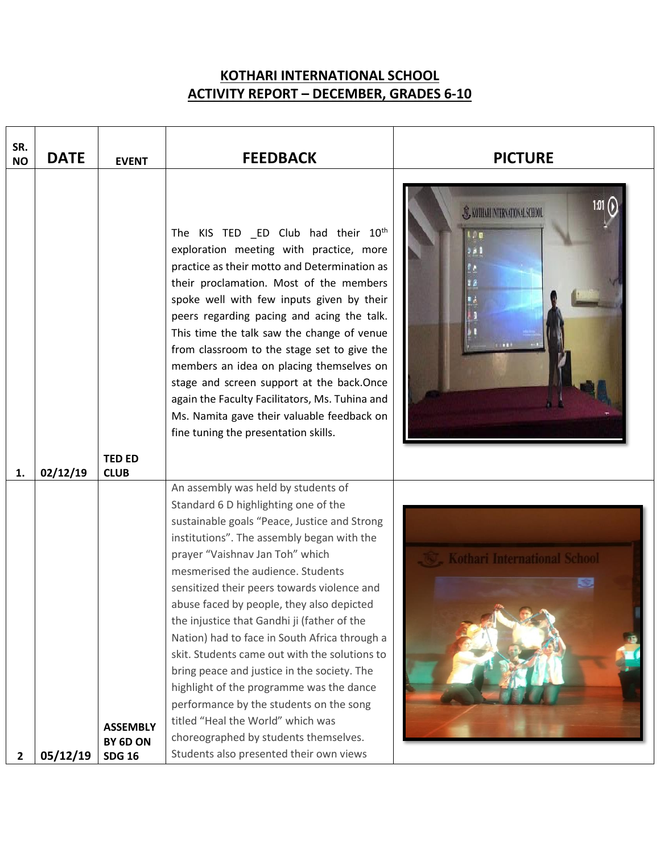## **KOTHARI INTERNATIONAL SCHOOL ACTIVITY REPORT – DECEMBER, GRADES 6-10**

| SR.<br><b>NO</b> | <b>DATE</b> | <b>EVENT</b>                                 | <b>FEEDBACK</b>                                                                                                                                                                                                                                                                                                                                                                                                                                                                                                                                                                                                                                                                                                                                               | <b>PICTURE</b>                      |
|------------------|-------------|----------------------------------------------|---------------------------------------------------------------------------------------------------------------------------------------------------------------------------------------------------------------------------------------------------------------------------------------------------------------------------------------------------------------------------------------------------------------------------------------------------------------------------------------------------------------------------------------------------------------------------------------------------------------------------------------------------------------------------------------------------------------------------------------------------------------|-------------------------------------|
| 1.               | 02/12/19    | <b>TED ED</b><br><b>CLUB</b>                 | The KIS TED _ED Club had their 10 <sup>th</sup><br>exploration meeting with practice, more<br>practice as their motto and Determination as<br>their proclamation. Most of the members<br>spoke well with few inputs given by their<br>peers regarding pacing and acing the talk.<br>This time the talk saw the change of venue<br>from classroom to the stage set to give the<br>members an idea on placing themselves on<br>stage and screen support at the back.Once<br>again the Faculty Facilitators, Ms. Tuhina and<br>Ms. Namita gave their valuable feedback on<br>fine tuning the presentation skills.                                                                                                                                                | S. KOTHARI INTERNATIONAL SCHOOL     |
| $\mathbf{2}$     | 05/12/19    | <b>ASSEMBLY</b><br>BY 6D ON<br><b>SDG 16</b> | An assembly was held by students of<br>Standard 6 D highlighting one of the<br>sustainable goals "Peace, Justice and Strong<br>institutions". The assembly began with the<br>prayer "Vaishnav Jan Toh" which<br>mesmerised the audience. Students<br>sensitized their peers towards violence and<br>abuse faced by people, they also depicted<br>the injustice that Gandhi ji (father of the<br>Nation) had to face in South Africa through a<br>skit. Students came out with the solutions to<br>bring peace and justice in the society. The<br>highlight of the programme was the dance<br>performance by the students on the song<br>titled "Heal the World" which was<br>choreographed by students themselves.<br>Students also presented their own views | <b>Cothari International School</b> |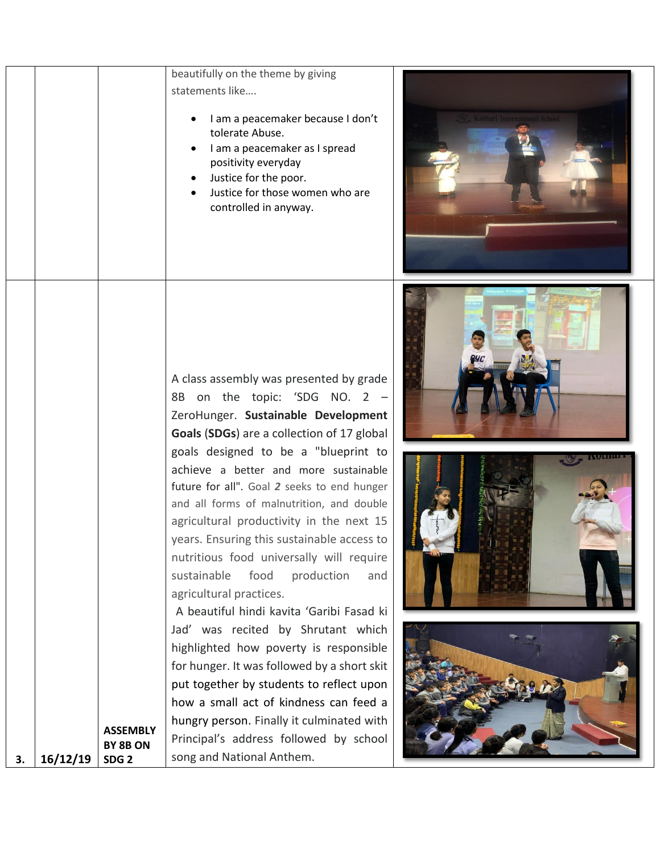|    |          |                                                 | beautifully on the theme by giving<br>statements like<br>I am a peacemaker because I don't<br>tolerate Abuse.<br>I am a peacemaker as I spread<br>positivity everyday<br>Justice for the poor.<br>Justice for those women who are<br>controlled in anyway.                                                                                                                                                                                                                                                                                                                                                                                                                                                                                                                      | Cothari International Schoo |
|----|----------|-------------------------------------------------|---------------------------------------------------------------------------------------------------------------------------------------------------------------------------------------------------------------------------------------------------------------------------------------------------------------------------------------------------------------------------------------------------------------------------------------------------------------------------------------------------------------------------------------------------------------------------------------------------------------------------------------------------------------------------------------------------------------------------------------------------------------------------------|-----------------------------|
|    |          |                                                 | A class assembly was presented by grade<br>8B on the topic: 'SDG NO. 2 -<br>ZeroHunger. Sustainable Development<br>Goals (SDGs) are a collection of 17 global<br>goals designed to be a "blueprint to<br>achieve a better and more sustainable<br>future for all". Goal 2 seeks to end hunger<br>and all forms of malnutrition, and double<br>agricultural productivity in the next 15<br>years. Ensuring this sustainable access to<br>nutritious food universally will require<br>sustainable<br>food<br>production<br>and<br>agricultural practices.<br>A beautiful hindi kavita 'Garibi Fasad ki<br>Jad' was recited by Shrutant which<br>highlighted how poverty is responsible<br>for hunger. It was followed by a short skit<br>put together by students to reflect upon |                             |
| 3. | 16/12/19 | <b>ASSEMBLY</b><br>BY 8B ON<br>SDG <sub>2</sub> | how a small act of kindness can feed a<br>hungry person. Finally it culminated with<br>Principal's address followed by school<br>song and National Anthem.                                                                                                                                                                                                                                                                                                                                                                                                                                                                                                                                                                                                                      |                             |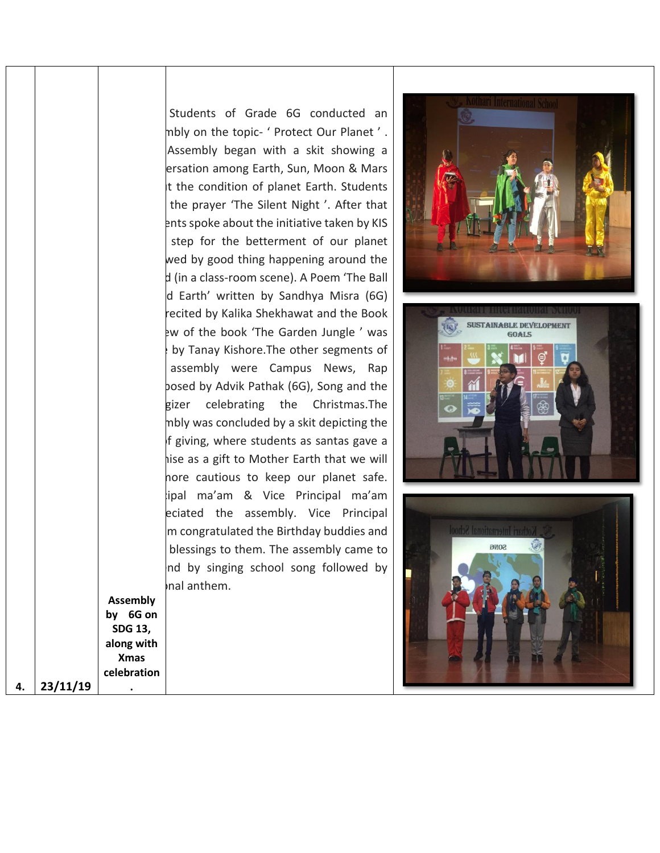|                |                                                                                    | Students of Grade 6G conducted an<br>mbly on the topic- ' Protect Our Planet '.<br>Assembly began with a skit showing a<br>ersation among Earth, Sun, Moon & Mars<br>It the condition of planet Earth. Students<br>the prayer 'The Silent Night'. After that<br>ents spoke about the initiative taken by KIS<br>step for the betterment of our planet<br>wed by good thing happening around the<br>d (in a class-room scene). A Poem 'The Ball<br>d Earth' written by Sandhya Misra (6G) |                                          |
|----------------|------------------------------------------------------------------------------------|------------------------------------------------------------------------------------------------------------------------------------------------------------------------------------------------------------------------------------------------------------------------------------------------------------------------------------------------------------------------------------------------------------------------------------------------------------------------------------------|------------------------------------------|
|                |                                                                                    | recited by Kalika Shekhawat and the Book<br>ew of the book 'The Garden Jungle' was<br>by Tanay Kishore. The other segments of<br>assembly were Campus News, Rap<br>bosed by Advik Pathak (6G), Song and the<br>gizer celebrating the Christmas. The<br>mbly was concluded by a skit depicting the<br>f giving, where students as santas gave a<br>hise as a gift to Mother Earth that we will<br>hore cautious to keep our planet safe.                                                  | <b>HAIN</b>                              |
| 23/11/19<br>4. | <b>Assembly</b><br>by 6G on<br>SDG 13,<br>along with<br><b>Xmas</b><br>celebration | ipal ma'am & Vice Principal ma'am<br>eciated the assembly. Vice Principal<br>m congratulated the Birthday buddies and<br>blessings to them. The assembly came to<br>nd by singing school song followed by<br>nal anthem.                                                                                                                                                                                                                                                                 | Kothari International Sch<br><b>SONG</b> |

 $\mathbf{I}$ 

 $\mathcal{L}_{\mathrm{max}}$ 

 $\mathbf{I}$